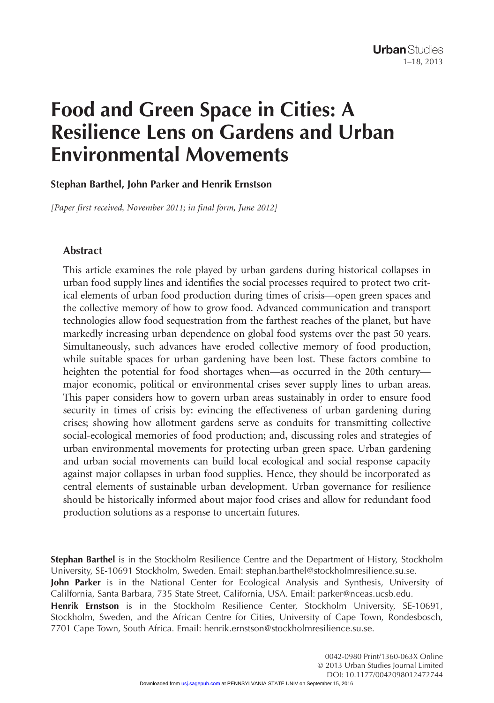**Urban** Studies 1–18, 2013

# Food and Green Space in Cities: A Resilience Lens on Gardens and Urban Environmental Movements

## Stephan Barthel, John Parker and Henrik Ernstson

[Paper first received, November 2011; in final form, June 2012]

#### Abstract

This article examines the role played by urban gardens during historical collapses in urban food supply lines and identifies the social processes required to protect two critical elements of urban food production during times of crisis—open green spaces and the collective memory of how to grow food. Advanced communication and transport technologies allow food sequestration from the farthest reaches of the planet, but have markedly increasing urban dependence on global food systems over the past 50 years. Simultaneously, such advances have eroded collective memory of food production, while suitable spaces for urban gardening have been lost. These factors combine to heighten the potential for food shortages when—as occurred in the 20th century major economic, political or environmental crises sever supply lines to urban areas. This paper considers how to govern urban areas sustainably in order to ensure food security in times of crisis by: evincing the effectiveness of urban gardening during crises; showing how allotment gardens serve as conduits for transmitting collective social-ecological memories of food production; and, discussing roles and strategies of urban environmental movements for protecting urban green space. Urban gardening and urban social movements can build local ecological and social response capacity against major collapses in urban food supplies. Hence, they should be incorporated as central elements of sustainable urban development. Urban governance for resilience should be historically informed about major food crises and allow for redundant food production solutions as a response to uncertain futures.

**Stephan Barthel** is in the Stockholm Resilience Centre and the Department of History, Stockholm University, SE-10691 Stockholm, [Sweden. E](http://usj.sagepub.com/)mail: stephan.barthel@stockholmresilience.su.se. John Parker is in the National Center for Ecological Analysis and Synthesis, University of Calilfornia, Santa Barbara, 735 State Street, California, USA. Email: parker@nceas.ucsb.edu. Henrik Ernstson is in the Stockholm Resilience Center, Stockholm University, SE-10691, Stockholm, Sweden, and the African Centre for Cities, University of Cape Town, Rondesbosch, 7701 Cape Town, South Africa. Email: henrik.ernstson@stockholmresilience.su.se.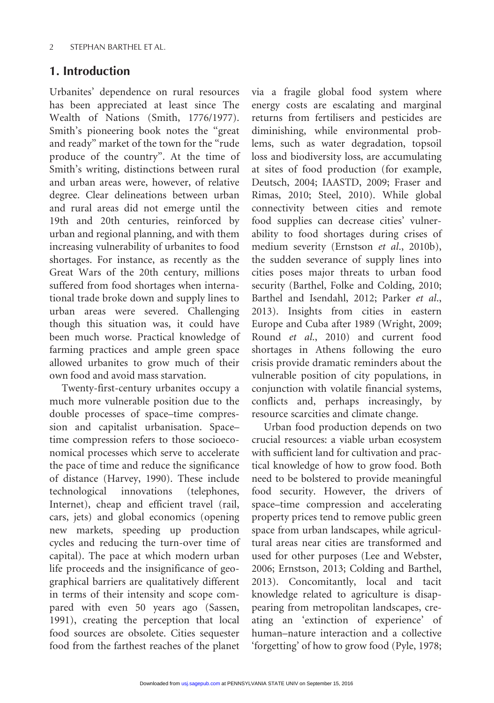## 1. Introduction

Urbanites' dependence on rural resources has been appreciated at least since The Wealth of Nations (Smith, 1776/1977). Smith's pioneering book notes the ''great and ready'' market of the town for the ''rude produce of the country''. At the time of Smith's writing, distinctions between rural and urban areas were, however, of relative degree. Clear delineations between urban and rural areas did not emerge until the 19th and 20th centuries, reinforced by urban and regional planning, and with them increasing vulnerability of urbanites to food shortages. For instance, as recently as the Great Wars of the 20th century, millions suffered from food shortages when international trade broke down and supply lines to urban areas were severed. Challenging though this situation was, it could have been much worse. Practical knowledge of farming practices and ample green space allowed urbanites to grow much of their own food and avoid mass starvation.

Twenty-first-century urbanites occupy a much more vulnerable position due to the double processes of space–time compression and capitalist urbanisation. Space– time compression refers to those socioeconomical processes which serve to accelerate the pace of time and reduce the significance of distance (Harvey, 1990). These include technological innovations (telephones, Internet), cheap and efficient travel (rail, cars, jets) and global economics (opening new markets, speeding up production cycles and reducing the turn-over time of capital). The pace at which modern urban life proceeds and the insignifi[cance of g](http://usj.sagepub.com/)eographical barriers are qualitatively different in terms of their intensity and scope compared with even 50 years ago (Sassen, 1991), creating the perception that local food sources are obsolete. Cities sequester food from the farthest reaches of the planet

via a fragile global food system where energy costs are escalating and marginal returns from fertilisers and pesticides are diminishing, while environmental problems, such as water degradation, topsoil loss and biodiversity loss, are accumulating at sites of food production (for example, Deutsch, 2004; IAASTD, 2009; Fraser and Rimas, 2010; Steel, 2010). While global connectivity between cities and remote food supplies can decrease cities' vulnerability to food shortages during crises of medium severity (Ernstson et al., 2010b), the sudden severance of supply lines into cities poses major threats to urban food security (Barthel, Folke and Colding, 2010; Barthel and Isendahl, 2012; Parker et al., 2013). Insights from cities in eastern Europe and Cuba after 1989 (Wright, 2009; Round et al., 2010) and current food shortages in Athens following the euro crisis provide dramatic reminders about the vulnerable position of city populations, in conjunction with volatile financial systems, conflicts and, perhaps increasingly, by resource scarcities and climate change.

Urban food production depends on two crucial resources: a viable urban ecosystem with sufficient land for cultivation and practical knowledge of how to grow food. Both need to be bolstered to provide meaningful food security. However, the drivers of space–time compression and accelerating property prices tend to remove public green space from urban landscapes, while agricultural areas near cities are transformed and used for other purposes (Lee and Webster, 2006; Ernstson, 2013; Colding and Barthel, 2013). Concomitantly, local and tacit knowledge related to agriculture is disappearing from metropolitan landscapes, creating an 'extinction of experience' of human–nature interaction and a collective 'forgetting' of how to grow food (Pyle, 1978;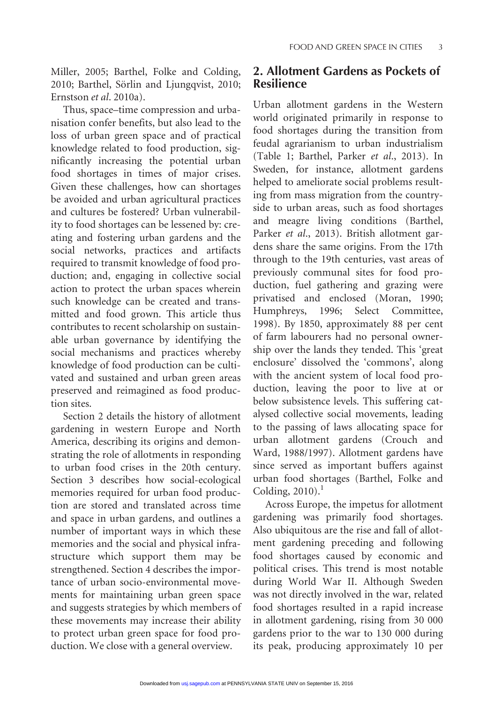Miller, 2005; Barthel, Folke and Colding, 2010; Barthel, Sörlin and Ljungqvist, 2010; Ernstson et al. 2010a).

Thus, space–time compression and urbanisation confer benefits, but also lead to the loss of urban green space and of practical knowledge related to food production, significantly increasing the potential urban food shortages in times of major crises. Given these challenges, how can shortages be avoided and urban agricultural practices and cultures be fostered? Urban vulnerability to food shortages can be lessened by: creating and fostering urban gardens and the social networks, practices and artifacts required to transmit knowledge of food production; and, engaging in collective social action to protect the urban spaces wherein such knowledge can be created and transmitted and food grown. This article thus contributes to recent scholarship on sustainable urban governance by identifying the social mechanisms and practices whereby knowledge of food production can be cultivated and sustained and urban green areas preserved and reimagined as food production sites.

Section 2 details the history of allotment gardening in western Europe and North America, describing its origins and demonstrating the role of allotments in responding to urban food crises in the 20th century. Section 3 describes how social-ecological memories required for urban food production are stored and translated across time and space in urban gardens, and outlines a number of important ways in which these memories and the social and physical infrastructure which support them may be strengthened. Section 4 descri[bes the im](http://usj.sagepub.com/)portance of urban socio-environmental movements for maintaining urban green space and suggests strategies by which members of these movements may increase their ability to protect urban green space for food production. We close with a general overview.

# 2. Allotment Gardens as Pockets of Resilience

Urban allotment gardens in the Western world originated primarily in response to food shortages during the transition from feudal agrarianism to urban industrialism (Table 1; Barthel, Parker et al., 2013). In Sweden, for instance, allotment gardens helped to ameliorate social problems resulting from mass migration from the countryside to urban areas, such as food shortages and meagre living conditions (Barthel, Parker et al., 2013). British allotment gardens share the same origins. From the 17th through to the 19th centuries, vast areas of previously communal sites for food production, fuel gathering and grazing were privatised and enclosed (Moran, 1990; Humphreys, 1996; Select Committee, 1998). By 1850, approximately 88 per cent of farm labourers had no personal ownership over the lands they tended. This 'great enclosure' dissolved the 'commons', along with the ancient system of local food production, leaving the poor to live at or below subsistence levels. This suffering catalysed collective social movements, leading to the passing of laws allocating space for urban allotment gardens (Crouch and Ward, 1988/1997). Allotment gardens have since served as important buffers against urban food shortages (Barthel, Folke and Colding,  $2010$ ).<sup>1</sup>

Across Europe, the impetus for allotment gardening was primarily food shortages. Also ubiquitous are the rise and fall of allotment gardening preceding and following food shortages caused by economic and political crises. This trend is most notable during World War II. Although Sweden was not directly involved in the war, related food shortages resulted in a rapid increase in allotment gardening, rising from 30 000 gardens prior to the war to 130 000 during its peak, producing approximately 10 per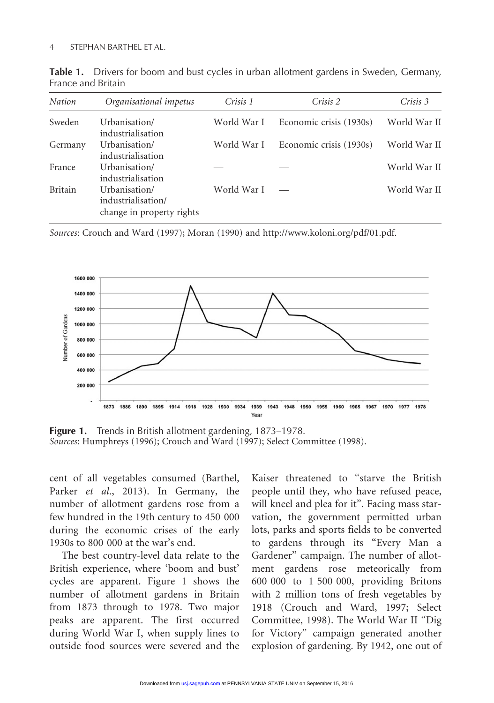Table 1. Drivers for boom and bust cycles in urban allotment gardens in Sweden, Germany, France and Britain

| Nation         | Organisational impetus                                           | Crisis 1    | Crisis 2                | Crisis 3     |
|----------------|------------------------------------------------------------------|-------------|-------------------------|--------------|
| Sweden         | Urbanisation/<br>industrialisation                               | World War I | Economic crisis (1930s) | World War II |
| Germany        | Urbanisation/<br>industrialisation                               | World War I | Economic crisis (1930s) | World War II |
| France         | Urbanisation/<br>industrialisation                               |             |                         | World War II |
| <b>Britain</b> | Urbanisation/<br>industrialisation/<br>change in property rights | World War I |                         | World War II |

Sources: Crouch and Ward (1997); Moran (1990) and http://www.koloni.org/pdf/01.pdf.



Figure 1. Trends in British allotment gardening, 1873-1978. Sources: Humphreys (1996); Crouch and Ward (1997); Select Committee (1998).

cent of all vegetables consumed (Barthel, Parker et al., 2013). In Germany, the number of allotment gardens rose from a few hundred in the 19th century to 450 000 during the economic crises of the early 1930s to 800 000 at the war's end.

The best country-level data relate to the British experience, where 'bo[om and b](http://usj.sagepub.com/)ust' cycles are apparent. Figure 1 shows the number of allotment gardens in Britain from 1873 through to 1978. Two major peaks are apparent. The first occurred during World War I, when supply lines to outside food sources were severed and the Kaiser threatened to "starve the British people until they, who have refused peace, will kneel and plea for it". Facing mass starvation, the government permitted urban lots, parks and sports fields to be converted to gardens through its ''Every Man a Gardener'' campaign. The number of allotment gardens rose meteorically from 600 000 to 1 500 000, providing Britons with 2 million tons of fresh vegetables by 1918 (Crouch and Ward, 1997; Select Committee, 1998). The World War II ''Dig for Victory'' campaign generated another explosion of gardening. By 1942, one out of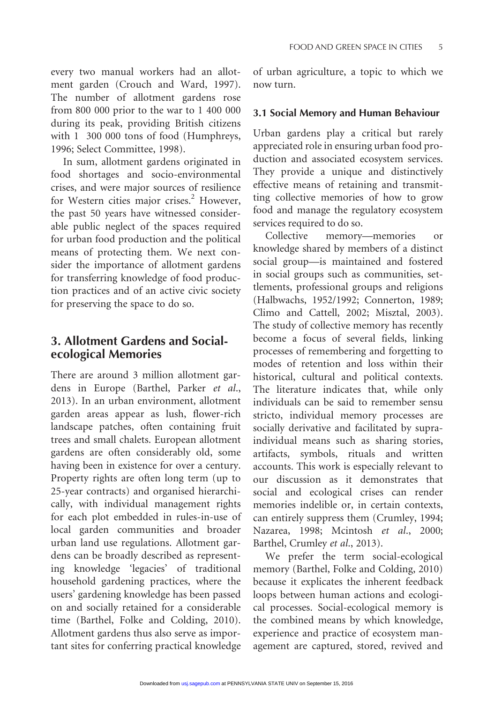every two manual workers had an allotment garden (Crouch and Ward, 1997). The number of allotment gardens rose from 800 000 prior to the war to 1 400 000 during its peak, providing British citizens with 1 300 000 tons of food (Humphreys, 1996; Select Committee, 1998).

In sum, allotment gardens originated in food shortages and socio-environmental crises, and were major sources of resilience for Western cities major crises.<sup>2</sup> However, the past 50 years have witnessed considerable public neglect of the spaces required for urban food production and the political means of protecting them. We next consider the importance of allotment gardens for transferring knowledge of food production practices and of an active civic society for preserving the space to do so.

# 3. Allotment Gardens and Socialecological Memories

There are around 3 million allotment gardens in Europe (Barthel, Parker et al., 2013). In an urban environment, allotment garden areas appear as lush, flower-rich landscape patches, often containing fruit trees and small chalets. European allotment gardens are often considerably old, some having been in existence for over a century. Property rights are often long term (up to 25-year contracts) and organised hierarchically, with individual management rights for each plot embedded in rules-in-use of local garden communities and broader urban land use regulations. Allotment gardens can be broadly described as representing knowledge 'legacies' [of traditi](http://usj.sagepub.com/)onal household gardening practices, where the users' gardening knowledge has been passed on and socially retained for a considerable time (Barthel, Folke and Colding, 2010). Allotment gardens thus also serve as important sites for conferring practical knowledge

of urban agriculture, a topic to which we now turn.

## 3.1 Social Memory and Human Behaviour

Urban gardens play a critical but rarely appreciated role in ensuring urban food production and associated ecosystem services. They provide a unique and distinctively effective means of retaining and transmitting collective memories of how to grow food and manage the regulatory ecosystem services required to do so.

Collective memory—memories or knowledge shared by members of a distinct social group—is maintained and fostered in social groups such as communities, settlements, professional groups and religions (Halbwachs, 1952/1992; Connerton, 1989; Climo and Cattell, 2002; Misztal, 2003). The study of collective memory has recently become a focus of several fields, linking processes of remembering and forgetting to modes of retention and loss within their historical, cultural and political contexts. The literature indicates that, while only individuals can be said to remember sensu stricto, individual memory processes are socially derivative and facilitated by supraindividual means such as sharing stories, artifacts, symbols, rituals and written accounts. This work is especially relevant to our discussion as it demonstrates that social and ecological crises can render memories indelible or, in certain contexts, can entirely suppress them (Crumley, 1994; Nazarea, 1998; Mcintosh et al., 2000; Barthel, Crumley et al., 2013).

We prefer the term social-ecological memory (Barthel, Folke and Colding, 2010) because it explicates the inherent feedback loops between human actions and ecological processes. Social-ecological memory is the combined means by which knowledge, experience and practice of ecosystem management are captured, stored, revived and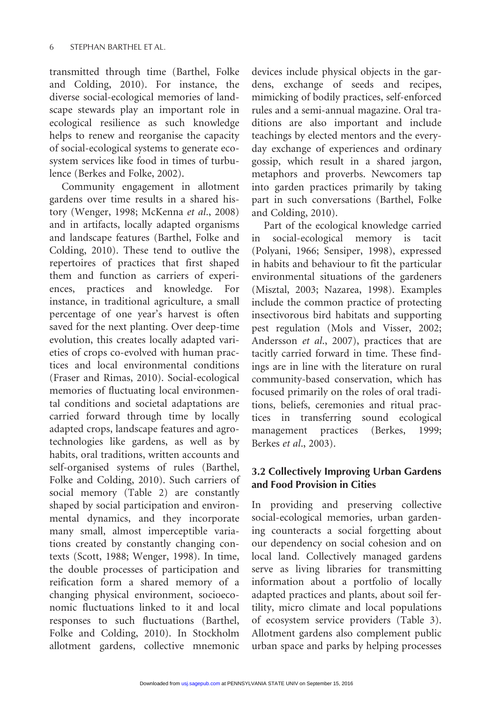transmitted through time (Barthel, Folke and Colding, 2010). For instance, the diverse social-ecological memories of landscape stewards play an important role in ecological resilience as such knowledge helps to renew and reorganise the capacity of social-ecological systems to generate ecosystem services like food in times of turbulence (Berkes and Folke, 2002).

Community engagement in allotment gardens over time results in a shared history (Wenger, 1998; McKenna et al., 2008) and in artifacts, locally adapted organisms and landscape features (Barthel, Folke and Colding, 2010). These tend to outlive the repertoires of practices that first shaped them and function as carriers of experiences, practices and knowledge. For instance, in traditional agriculture, a small percentage of one year's harvest is often saved for the next planting. Over deep-time evolution, this creates locally adapted varieties of crops co-evolved with human practices and local environmental conditions (Fraser and Rimas, 2010). Social-ecological memories of fluctuating local environmental conditions and societal adaptations are carried forward through time by locally adapted crops, landscape features and agrotechnologies like gardens, as well as by habits, oral traditions, written accounts and self-organised systems of rules (Barthel, Folke and Colding, 2010). Such carriers of social memory (Table 2) are constantly shaped by social participation and environmental dynamics, and they incorporate many small, almost imperceptible variations created by constantly changing contexts (Scott, 1988; Wenger, 1998). In time, the double processes of part[icipation](http://usj.sagepub.com/) and reification form a shared memory of a changing physical environment, socioeconomic fluctuations linked to it and local responses to such fluctuations (Barthel, Folke and Colding, 2010). In Stockholm allotment gardens, collective mnemonic

devices include physical objects in the gardens, exchange of seeds and recipes, mimicking of bodily practices, self-enforced rules and a semi-annual magazine. Oral traditions are also important and include teachings by elected mentors and the everyday exchange of experiences and ordinary gossip, which result in a shared jargon, metaphors and proverbs. Newcomers tap into garden practices primarily by taking part in such conversations (Barthel, Folke and Colding, 2010).

Part of the ecological knowledge carried in social-ecological memory is tacit (Polyani, 1966; Sensiper, 1998), expressed in habits and behaviour to fit the particular environmental situations of the gardeners (Misztal, 2003; Nazarea, 1998). Examples include the common practice of protecting insectivorous bird habitats and supporting pest regulation (Mols and Visser, 2002; Andersson et al., 2007), practices that are tacitly carried forward in time. These findings are in line with the literature on rural community-based conservation, which has focused primarily on the roles of oral traditions, beliefs, ceremonies and ritual practices in transferring sound ecological management practices (Berkes, 1999; Berkes et al., 2003).

## 3.2 Collectively Improving Urban Gardens and Food Provision in Cities

In providing and preserving collective social-ecological memories, urban gardening counteracts a social forgetting about our dependency on social cohesion and on local land. Collectively managed gardens serve as living libraries for transmitting information about a portfolio of locally adapted practices and plants, about soil fertility, micro climate and local populations of ecosystem service providers (Table 3). Allotment gardens also complement public urban space and parks by helping processes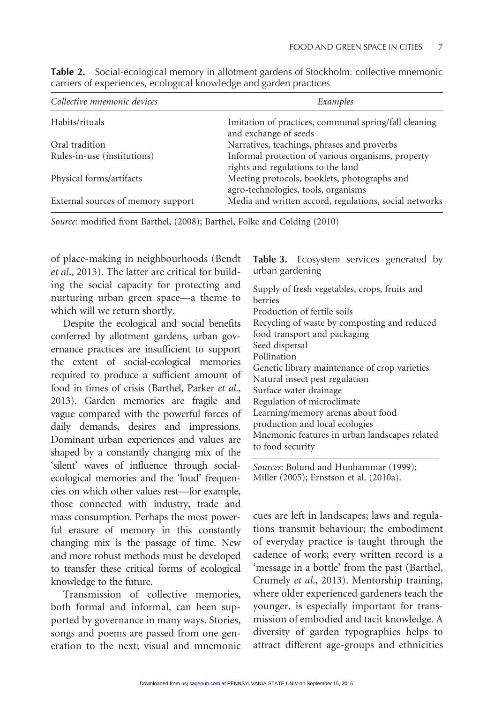Table 2. Social-ecological memory in allotment gardens of Stockholm: collective mnemonic carriers of experiences, ecological knowledge and garden practices

| Collective mnemonic devices        | Examples                                                                                 |  |
|------------------------------------|------------------------------------------------------------------------------------------|--|
| Habits/rituals                     | Imitation of practices, communal spring/fall cleaning<br>and exchange of seeds           |  |
| Oral tradition                     | Narratives, teachings, phrases and proverbs                                              |  |
| Rules-in-use (institutions)        | Informal protection of various organisms, property<br>rights and regulations to the land |  |
| Physical forms/artifacts           | Meeting protocols, booklets, photographs and<br>agro-technologies, tools, organisms      |  |
| External sources of memory support | Media and written accord, regulations, social networks                                   |  |

Source: modified from Barthel, (2008); Barthel, Folke and Colding (2010)

of place-making in neighbourhoods (Bendt et al., 2013). The latter are critical for building the social capacity for protecting and nurturing urban green space—a theme to which will we return shortly.

Despite the ecological and social benefits conferred by allotment gardens, urban governance practices are insufficient to support the extent of social-ecological memories required to produce a sufficient amount of food in times of crisis (Barthel, Parker et al., 2013). Garden memories are fragile and vague compared with the powerful forces of daily demands, desires and impressions. Dominant urban experiences and values are shaped by a constantly changing mix of the 'silent' waves of influence through socialecological memories and the 'loud' frequencies on which other values rest—for example, those connected with industry, trade and mass consumption. Perhaps the most powerful erasure of memory in this constantly changing mix is the passage of time. New and more robust methods must be developed to transfer these critical form[s of ecolo](http://usj.sagepub.com/)gical knowledge to the future.

Transmission of collective memories, both formal and informal, can been supported by governance in many ways. Stories, songs and poems are passed from one generation to the next; visual and mnemonic Table 3. Ecosystem services generated by urban gardening

| Supply of fresh vegetables, crops, fruits and |  |  |
|-----------------------------------------------|--|--|
| berries                                       |  |  |
| Production of fertile soils                   |  |  |
| Recycling of waste by composting and reduced  |  |  |
| food transport and packaging                  |  |  |
| Seed dispersal                                |  |  |
| Pollination                                   |  |  |
| Genetic library maintenance of crop varieties |  |  |
| Natural insect pest regulation                |  |  |
| Surface water drainage                        |  |  |
| Regulation of microclimate                    |  |  |
| Learning/memory arenas about food             |  |  |
| production and local ecologies                |  |  |
| Mnemonic features in urban landscapes related |  |  |
| to food security                              |  |  |
|                                               |  |  |

Sources: Bolund and Hunhammar (1999); Miller (2005); Ernstson et al. (2010a).

cues are left in landscapes; laws and regulations transmit behaviour; the embodiment of everyday practice is taught through the cadence of work; every written record is a 'message in a bottle' from the past (Barthel, Crumely et al., 2013). Mentorship training, where older experienced gardeners teach the younger, is especially important for transmission of embodied and tacit knowledge. A diversity of garden typographies helps to attract different age-groups and ethnicities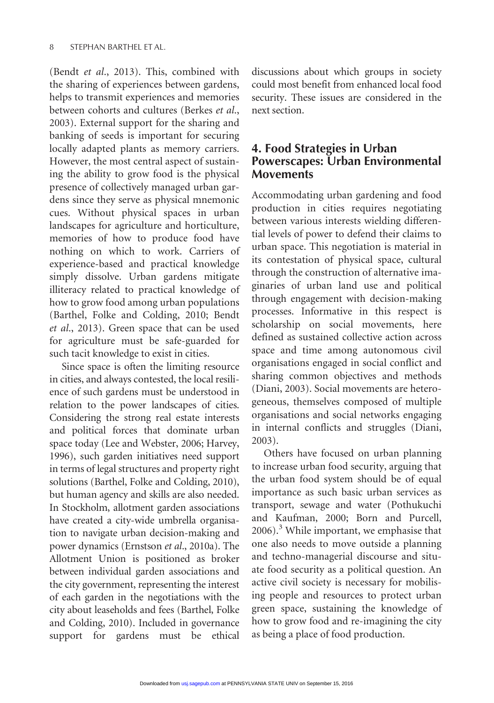(Bendt et al., 2013). This, combined with the sharing of experiences between gardens, helps to transmit experiences and memories between cohorts and cultures (Berkes et al., 2003). External support for the sharing and banking of seeds is important for securing locally adapted plants as memory carriers. However, the most central aspect of sustaining the ability to grow food is the physical presence of collectively managed urban gardens since they serve as physical mnemonic cues. Without physical spaces in urban landscapes for agriculture and horticulture, memories of how to produce food have nothing on which to work. Carriers of experience-based and practical knowledge simply dissolve. Urban gardens mitigate illiteracy related to practical knowledge of how to grow food among urban populations (Barthel, Folke and Colding, 2010; Bendt et al., 2013). Green space that can be used for agriculture must be safe-guarded for such tacit knowledge to exist in cities.

Since space is often the limiting resource in cities, and always contested, the local resilience of such gardens must be understood in relation to the power landscapes of cities. Considering the strong real estate interests and political forces that dominate urban space today (Lee and Webster, 2006; Harvey, 1996), such garden initiatives need support in terms of legal structures and property right solutions (Barthel, Folke and Colding, 2010), but human agency and skills are also needed. In Stockholm, allotment garden associations have created a city-wide umbrella organisation to navigate urban decision-making and power dynamics (Ernstson et al., 2010a). The Allotment Union is positioned as broker between individual garden as[sociations](http://usj.sagepub.com/) and the city government, representing the interest of each garden in the negotiations with the city about leaseholds and fees (Barthel, Folke and Colding, 2010). Included in governance support for gardens must be ethical discussions about which groups in society could most benefit from enhanced local food security. These issues are considered in the next section.

## 4. Food Strategies in Urban Powerscapes: Urban Environmental Movements

Accommodating urban gardening and food production in cities requires negotiating between various interests wielding differential levels of power to defend their claims to urban space. This negotiation is material in its contestation of physical space, cultural through the construction of alternative imaginaries of urban land use and political through engagement with decision-making processes. Informative in this respect is scholarship on social movements, here defined as sustained collective action across space and time among autonomous civil organisations engaged in social conflict and sharing common objectives and methods (Diani, 2003). Social movements are heterogeneous, themselves composed of multiple organisations and social networks engaging in internal conflicts and struggles (Diani, 2003).

Others have focused on urban planning to increase urban food security, arguing that the urban food system should be of equal importance as such basic urban services as transport, sewage and water (Pothukuchi and Kaufman, 2000; Born and Purcell,  $2006$ .<sup>3</sup> While important, we emphasise that one also needs to move outside a planning and techno-managerial discourse and situate food security as a political question. An active civil society is necessary for mobilising people and resources to protect urban green space, sustaining the knowledge of how to grow food and re-imagining the city as being a place of food production.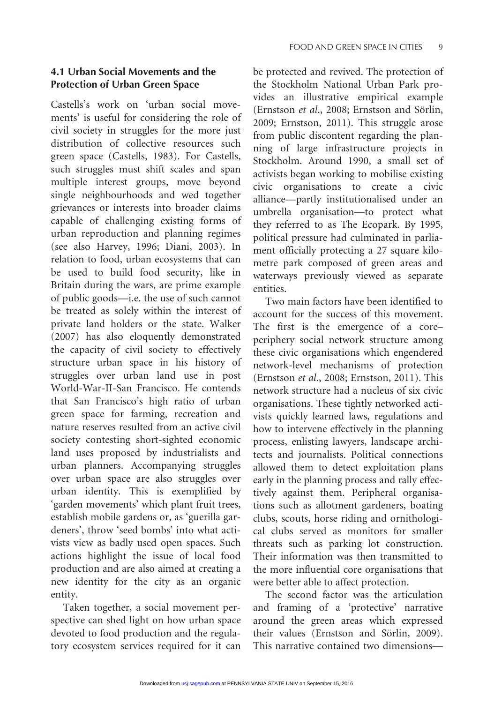#### FOOD AND GREEN SPACE IN CITIES 9

# 4.1 Urban Social Movements and the Protection of Urban Green Space

Castells's work on 'urban social movements' is useful for considering the role of civil society in struggles for the more just distribution of collective resources such green space (Castells, 1983). For Castells, such struggles must shift scales and span multiple interest groups, move beyond single neighbourhoods and wed together grievances or interests into broader claims capable of challenging existing forms of urban reproduction and planning regimes (see also Harvey, 1996; Diani, 2003). In relation to food, urban ecosystems that can be used to build food security, like in Britain during the wars, are prime example of public goods—i.e. the use of such cannot be treated as solely within the interest of private land holders or the state. Walker (2007) has also eloquently demonstrated the capacity of civil society to effectively structure urban space in his history of struggles over urban land use in post World-War-II-San Francisco. He contends that San Francisco's high ratio of urban green space for farming, recreation and nature reserves resulted from an active civil society contesting short-sighted economic land uses proposed by industrialists and urban planners. Accompanying struggles over urban space are also struggles over urban identity. This is exemplified by 'garden movements' which plant fruit trees, establish mobile gardens or, as 'guerilla gardeners', throw 'seed bombs' into what activists view as badly used open spaces. Such actions highlight the issue of local food production and are also aime[d at creati](http://usj.sagepub.com/)ng a new identity for the city as an organic entity.

Taken together, a social movement perspective can shed light on how urban space devoted to food production and the regulatory ecosystem services required for it can

be protected and revived. The protection of the Stockholm National Urban Park provides an illustrative empirical example (Ernstson et al., 2008; Ernstson and Sörlin, 2009; Ernstson, 2011). This struggle arose from public discontent regarding the planning of large infrastructure projects in Stockholm. Around 1990, a small set of activists began working to mobilise existing civic organisations to create a civic alliance—partly institutionalised under an umbrella organisation—to protect what they referred to as The Ecopark. By 1995, political pressure had culminated in parliament officially protecting a 27 square kilometre park composed of green areas and waterways previously viewed as separate entities.

Two main factors have been identified to account for the success of this movement. The first is the emergence of a core– periphery social network structure among these civic organisations which engendered network-level mechanisms of protection (Ernstson et al., 2008; Ernstson, 2011). This network structure had a nucleus of six civic organisations. These tightly networked activists quickly learned laws, regulations and how to intervene effectively in the planning process, enlisting lawyers, landscape architects and journalists. Political connections allowed them to detect exploitation plans early in the planning process and rally effectively against them. Peripheral organisations such as allotment gardeners, boating clubs, scouts, horse riding and ornithological clubs served as monitors for smaller threats such as parking lot construction. Their information was then transmitted to the more influential core organisations that were better able to affect protection.

The second factor was the articulation and framing of a 'protective' narrative around the green areas which expressed their values (Ernstson and Sörlin, 2009). This narrative contained two dimensions—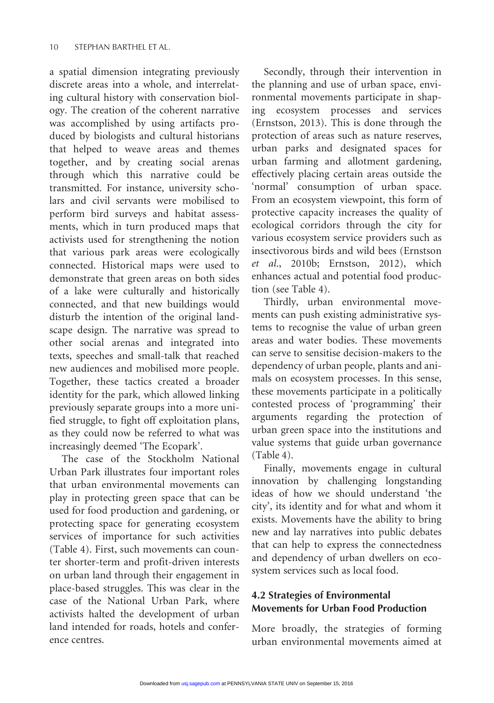a spatial dimension integrating previously discrete areas into a whole, and interrelating cultural history with conservation biology. The creation of the coherent narrative was accomplished by using artifacts produced by biologists and cultural historians that helped to weave areas and themes together, and by creating social arenas through which this narrative could be transmitted. For instance, university scholars and civil servants were mobilised to perform bird surveys and habitat assessments, which in turn produced maps that activists used for strengthening the notion that various park areas were ecologically connected. Historical maps were used to demonstrate that green areas on both sides of a lake were culturally and historically connected, and that new buildings would disturb the intention of the original landscape design. The narrative was spread to other social arenas and integrated into texts, speeches and small-talk that reached new audiences and mobilised more people. Together, these tactics created a broader identity for the park, which allowed linking previously separate groups into a more unified struggle, to fight off exploitation plans, as they could now be referred to what was increasingly deemed 'The Ecopark'.

The case of the Stockholm National Urban Park illustrates four important roles that urban environmental movements can play in protecting green space that can be used for food production and gardening, or protecting space for generating ecosystem services of importance for such activities (Table 4). First, such movements can counter shorter-term and profit-driven interests on urban land through their [engagemen](http://usj.sagepub.com/)t in place-based struggles. This was clear in the case of the National Urban Park, where activists halted the development of urban land intended for roads, hotels and conference centres.

Secondly, through their intervention in the planning and use of urban space, environmental movements participate in shaping ecosystem processes and services (Ernstson, 2013). This is done through the protection of areas such as nature reserves, urban parks and designated spaces for urban farming and allotment gardening, effectively placing certain areas outside the 'normal' consumption of urban space. From an ecosystem viewpoint, this form of protective capacity increases the quality of ecological corridors through the city for various ecosystem service providers such as insectivorous birds and wild bees (Ernstson et al., 2010b; Ernstson, 2012), which enhances actual and potential food production (see Table 4).

Thirdly, urban environmental movements can push existing administrative systems to recognise the value of urban green areas and water bodies. These movements can serve to sensitise decision-makers to the dependency of urban people, plants and animals on ecosystem processes. In this sense, these movements participate in a politically contested process of 'programming' their arguments regarding the protection of urban green space into the institutions and value systems that guide urban governance (Table 4).

Finally, movements engage in cultural innovation by challenging longstanding ideas of how we should understand 'the city', its identity and for what and whom it exists. Movements have the ability to bring new and lay narratives into public debates that can help to express the connectedness and dependency of urban dwellers on ecosystem services such as local food.

# 4.2 Strategies of Environmental Movements for Urban Food Production

More broadly, the strategies of forming urban environmental movements aimed at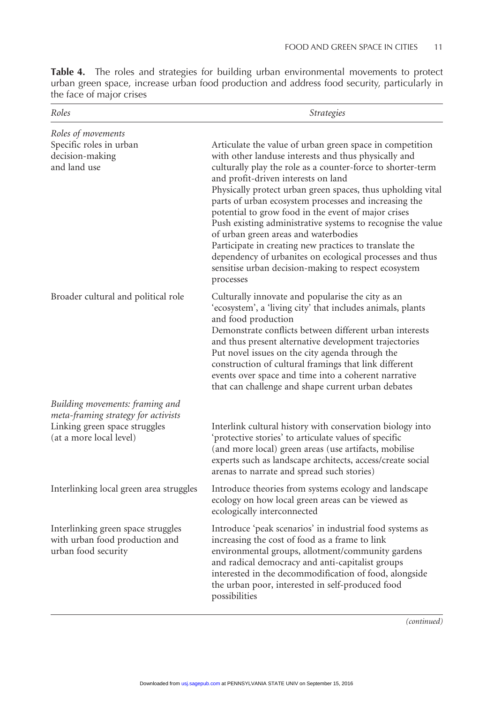**Table 4.** The roles and strategies for building urban environmental movements to protect urban green space, increase urban food production and address food security, particularly in the face of major crises

| Roles                                                                                                                              | Strategies                                                                                                                                                                                                                                                                                                                                                                                                                                                                                                                                                                                                                                                                                              |
|------------------------------------------------------------------------------------------------------------------------------------|---------------------------------------------------------------------------------------------------------------------------------------------------------------------------------------------------------------------------------------------------------------------------------------------------------------------------------------------------------------------------------------------------------------------------------------------------------------------------------------------------------------------------------------------------------------------------------------------------------------------------------------------------------------------------------------------------------|
| Roles of movements<br>Specific roles in urban<br>decision-making<br>and land use                                                   | Articulate the value of urban green space in competition<br>with other landuse interests and thus physically and<br>culturally play the role as a counter-force to shorter-term<br>and profit-driven interests on land<br>Physically protect urban green spaces, thus upholding vital<br>parts of urban ecosystem processes and increasing the<br>potential to grow food in the event of major crises<br>Push existing administrative systems to recognise the value<br>of urban green areas and waterbodies<br>Participate in creating new practices to translate the<br>dependency of urbanites on ecological processes and thus<br>sensitise urban decision-making to respect ecosystem<br>processes |
| Broader cultural and political role                                                                                                | Culturally innovate and popularise the city as an<br>'ecosystem', a 'living city' that includes animals, plants<br>and food production<br>Demonstrate conflicts between different urban interests<br>and thus present alternative development trajectories<br>Put novel issues on the city agenda through the<br>construction of cultural framings that link different<br>events over space and time into a coherent narrative<br>that can challenge and shape current urban debates                                                                                                                                                                                                                    |
| Building movements: framing and<br>meta-framing strategy for activists<br>Linking green space struggles<br>(at a more local level) | Interlink cultural history with conservation biology into<br>'protective stories' to articulate values of specific<br>(and more local) green areas (use artifacts, mobilise<br>experts such as landscape architects, access/create social<br>arenas to narrate and spread such stories)                                                                                                                                                                                                                                                                                                                                                                                                                 |
| Interlinking local green area struggles                                                                                            | Introduce theories from systems ecology and landscape<br>ecology on how local green areas can be viewed as<br>ecologically interconnected                                                                                                                                                                                                                                                                                                                                                                                                                                                                                                                                                               |
| Interlinking green space struggles<br>with urban food production and<br>urban food security                                        | Introduce 'peak scenarios' in industrial food systems as<br>increasing the cost of food as a frame to link<br>environmental groups, allotment/community gardens<br>and radical democracy and anti-capitalist groups<br>interested in the decommodification of food, alongside<br>the urban poor, interested in self-produced food<br>possibilities                                                                                                                                                                                                                                                                                                                                                      |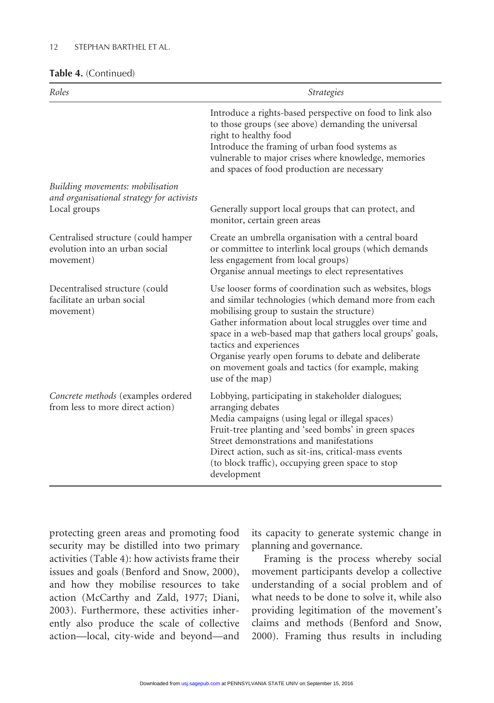## Table 4. (Continued)

| Roles                                                                                         | <b>Strategies</b>                                                                                                                                                                                                                                                                                                                                                                                                                                   |
|-----------------------------------------------------------------------------------------------|-----------------------------------------------------------------------------------------------------------------------------------------------------------------------------------------------------------------------------------------------------------------------------------------------------------------------------------------------------------------------------------------------------------------------------------------------------|
|                                                                                               | Introduce a rights-based perspective on food to link also<br>to those groups (see above) demanding the universal<br>right to healthy food<br>Introduce the framing of urban food systems as<br>vulnerable to major crises where knowledge, memories<br>and spaces of food production are necessary                                                                                                                                                  |
| Building movements: mobilisation<br>and organisational strategy for activists<br>Local groups | Generally support local groups that can protect, and<br>monitor, certain green areas                                                                                                                                                                                                                                                                                                                                                                |
| Centralised structure (could hamper<br>evolution into an urban social<br>movement)            | Create an umbrella organisation with a central board<br>or committee to interlink local groups (which demands<br>less engagement from local groups)<br>Organise annual meetings to elect representatives                                                                                                                                                                                                                                            |
| Decentralised structure (could<br>facilitate an urban social<br>movement)                     | Use looser forms of coordination such as websites, blogs<br>and similar technologies (which demand more from each<br>mobilising group to sustain the structure)<br>Gather information about local struggles over time and<br>space in a web-based map that gathers local groups' goals,<br>tactics and experiences<br>Organise yearly open forums to debate and deliberate<br>on movement goals and tactics (for example, making<br>use of the map) |
| Concrete methods (examples ordered<br>from less to more direct action)                        | Lobbying, participating in stakeholder dialogues;<br>arranging debates<br>Media campaigns (using legal or illegal spaces)<br>Fruit-tree planting and 'seed bombs' in green spaces<br>Street demonstrations and manifestations<br>Direct action, such as sit-ins, critical-mass events<br>(to block traffic), occupying green space to stop<br>development                                                                                           |

protecting green areas and promoting food security may be distilled into two primary activities (Table 4): how activists frame their issues and goals (Benford and [Snow, 20](http://usj.sagepub.com/)00), and how they mobilise resources to take action (McCarthy and Zald, 1977; Diani, 2003). Furthermore, these activities inherently also produce the scale of collective action—local, city-wide and beyond—and

its capacity to generate systemic change in planning and governance.

Framing is the process whereby social movement participants develop a collective understanding of a social problem and of what needs to be done to solve it, while also providing legitimation of the movement's claims and methods (Benford and Snow, 2000). Framing thus results in including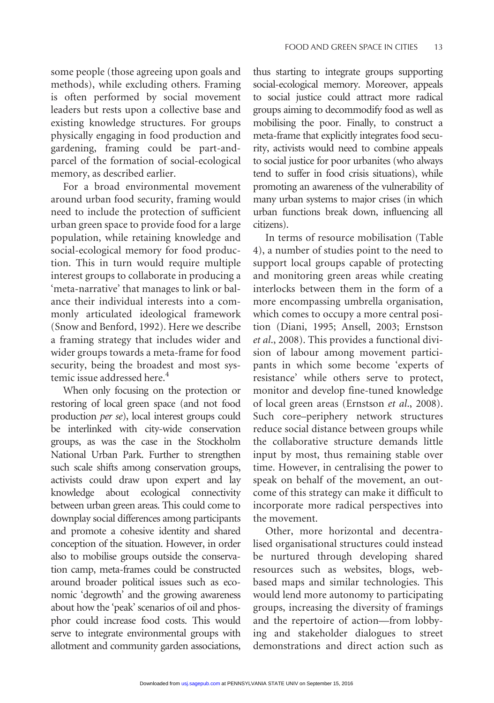some people (those agreeing upon goals and methods), while excluding others. Framing is often performed by social movement leaders but rests upon a collective base and existing knowledge structures. For groups physically engaging in food production and gardening, framing could be part-andparcel of the formation of social-ecological memory, as described earlier.

For a broad environmental movement around urban food security, framing would need to include the protection of sufficient urban green space to provide food for a large population, while retaining knowledge and social-ecological memory for food production. This in turn would require multiple interest groups to collaborate in producing a 'meta-narrative' that manages to link or balance their individual interests into a commonly articulated ideological framework (Snow and Benford, 1992). Here we describe a framing strategy that includes wider and wider groups towards a meta-frame for food security, being the broadest and most systemic issue addressed here.<sup>4</sup>

When only focusing on the protection or restoring of local green space (and not food production per se), local interest groups could be interlinked with city-wide conservation groups, as was the case in the Stockholm National Urban Park. Further to strengthen such scale shifts among conservation groups, activists could draw upon expert and lay knowledge about ecological connectivity between urban green areas. This could come to downplay social differences among participants and promote a cohesive identity and shared conception of the situation. However, in order also to mobilise groups outside the conservation camp, meta-frames could [be constru](http://usj.sagepub.com/)cted around broader political issues such as economic 'degrowth' and the growing awareness about how the 'peak' scenarios of oil and phosphor could increase food costs. This would serve to integrate environmental groups with allotment and community garden associations,

thus starting to integrate groups supporting social-ecological memory. Moreover, appeals to social justice could attract more radical groups aiming to decommodify food as well as mobilising the poor. Finally, to construct a meta-frame that explicitly integrates food security, activists would need to combine appeals to social justice for poor urbanites (who always tend to suffer in food crisis situations), while promoting an awareness of the vulnerability of many urban systems to major crises (in which urban functions break down, influencing all citizens).

In terms of resource mobilisation (Table 4), a number of studies point to the need to support local groups capable of protecting and monitoring green areas while creating interlocks between them in the form of a more encompassing umbrella organisation, which comes to occupy a more central position (Diani, 1995; Ansell, 2003; Ernstson et al., 2008). This provides a functional division of labour among movement participants in which some become 'experts of resistance' while others serve to protect, monitor and develop fine-tuned knowledge of local green areas (Ernstson et al., 2008). Such core–periphery network structures reduce social distance between groups while the collaborative structure demands little input by most, thus remaining stable over time. However, in centralising the power to speak on behalf of the movement, an outcome of this strategy can make it difficult to incorporate more radical perspectives into the movement.

Other, more horizontal and decentralised organisational structures could instead be nurtured through developing shared resources such as websites, blogs, webbased maps and similar technologies. This would lend more autonomy to participating groups, increasing the diversity of framings and the repertoire of action—from lobbying and stakeholder dialogues to street demonstrations and direct action such as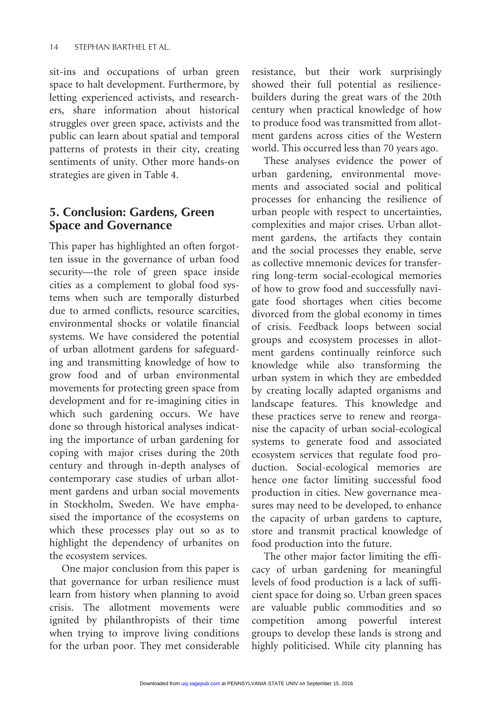sit-ins and occupations of urban green space to halt development. Furthermore, by letting experienced activists, and researchers, share information about historical struggles over green space, activists and the public can learn about spatial and temporal patterns of protests in their city, creating sentiments of unity. Other more hands-on strategies are given in Table 4.

# 5. Conclusion: Gardens, Green Space and Governance

This paper has highlighted an often forgotten issue in the governance of urban food security—the role of green space inside cities as a complement to global food systems when such are temporally disturbed due to armed conflicts, resource scarcities, environmental shocks or volatile financial systems. We have considered the potential of urban allotment gardens for safeguarding and transmitting knowledge of how to grow food and of urban environmental movements for protecting green space from development and for re-imagining cities in which such gardening occurs. We have done so through historical analyses indicating the importance of urban gardening for coping with major crises during the 20th century and through in-depth analyses of contemporary case studies of urban allotment gardens and urban social movements in Stockholm, Sweden. We have emphasised the importance of the ecosystems on which these processes play out so as to highlight the dependency of urbanites on the ecosystem services.

One major conclusion fro[m this pape](http://usj.sagepub.com/)r is that governance for urban resilience must learn from history when planning to avoid crisis. The allotment movements were ignited by philanthropists of their time when trying to improve living conditions for the urban poor. They met considerable

resistance, but their work surprisingly showed their full potential as resiliencebuilders during the great wars of the 20th century when practical knowledge of how to produce food was transmitted from allotment gardens across cities of the Western world. This occurred less than 70 years ago.

These analyses evidence the power of urban gardening, environmental movements and associated social and political processes for enhancing the resilience of urban people with respect to uncertainties, complexities and major crises. Urban allotment gardens, the artifacts they contain and the social processes they enable, serve as collective mnemonic devices for transferring long-term social-ecological memories of how to grow food and successfully navigate food shortages when cities become divorced from the global economy in times of crisis. Feedback loops between social groups and ecosystem processes in allotment gardens continually reinforce such knowledge while also transforming the urban system in which they are embedded by creating locally adapted organisms and landscape features. This knowledge and these practices serve to renew and reorganise the capacity of urban social-ecological systems to generate food and associated ecosystem services that regulate food production. Social-ecological memories are hence one factor limiting successful food production in cities. New governance measures may need to be developed, to enhance the capacity of urban gardens to capture, store and transmit practical knowledge of food production into the future.

The other major factor limiting the efficacy of urban gardening for meaningful levels of food production is a lack of sufficient space for doing so. Urban green spaces are valuable public commodities and so competition among powerful interest groups to develop these lands is strong and highly politicised. While city planning has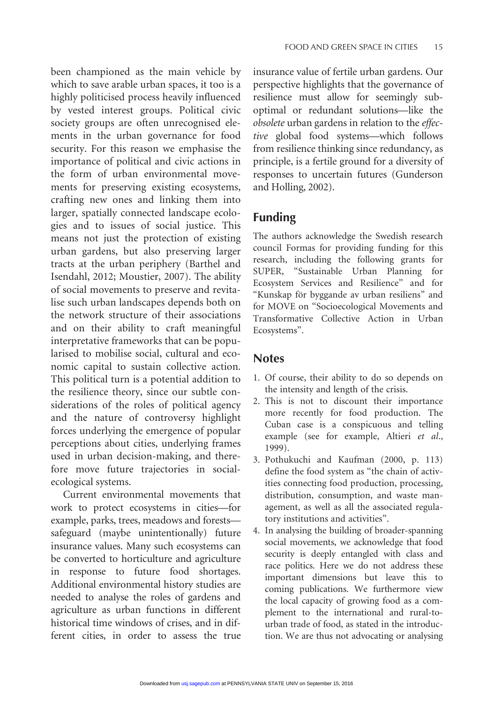been championed as the main vehicle by which to save arable urban spaces, it too is a highly politicised process heavily influenced by vested interest groups. Political civic society groups are often unrecognised elements in the urban governance for food security. For this reason we emphasise the importance of political and civic actions in the form of urban environmental movements for preserving existing ecosystems, crafting new ones and linking them into larger, spatially connected landscape ecologies and to issues of social justice. This means not just the protection of existing urban gardens, but also preserving larger tracts at the urban periphery (Barthel and Isendahl, 2012; Moustier, 2007). The ability of social movements to preserve and revitalise such urban landscapes depends both on the network structure of their associations and on their ability to craft meaningful interpretative frameworks that can be popularised to mobilise social, cultural and economic capital to sustain collective action. This political turn is a potential addition to the resilience theory, since our subtle considerations of the roles of political agency and the nature of controversy highlight forces underlying the emergence of popular perceptions about cities, underlying frames used in urban decision-making, and therefore move future trajectories in socialecological systems.

Current environmental movements that work to protect ecosystems in cities—for example, parks, trees, meadows and forests safeguard (maybe unintentionally) future insurance values. Many such ecosystems can be converted to horticulture and agriculture in response to future fo[od shorta](http://usj.sagepub.com/)ges. Additional environmental history studies are needed to analyse the roles of gardens and agriculture as urban functions in different historical time windows of crises, and in different cities, in order to assess the true

insurance value of fertile urban gardens. Our perspective highlights that the governance of resilience must allow for seemingly suboptimal or redundant solutions—like the obsolete urban gardens in relation to the effective global food systems—which follows from resilience thinking since redundancy, as principle, is a fertile ground for a diversity of responses to uncertain futures (Gunderson and Holling, 2002).

# Funding

The authors acknowledge the Swedish research council Formas for providing funding for this research, including the following grants for SUPER, ''Sustainable Urban Planning for Ecosystem Services and Resilience'' and for "Kunskap för byggande av urban resiliens" and for MOVE on ''Socioecological Movements and Transformative Collective Action in Urban Ecosystems''.

# **Notes**

- 1. Of course, their ability to do so depends on the intensity and length of the crisis.
- 2. This is not to discount their importance more recently for food production. The Cuban case is a conspicuous and telling example (see for example, Altieri et al., 1999).
- 3. Pothukuchi and Kaufman (2000, p. 113) define the food system as ''the chain of activities connecting food production, processing, distribution, consumption, and waste management, as well as all the associated regulatory institutions and activities''.
- 4. In analysing the building of broader-spanning social movements, we acknowledge that food security is deeply entangled with class and race politics. Here we do not address these important dimensions but leave this to coming publications. We furthermore view the local capacity of growing food as a complement to the international and rural-tourban trade of food, as stated in the introduction. We are thus not advocating or analysing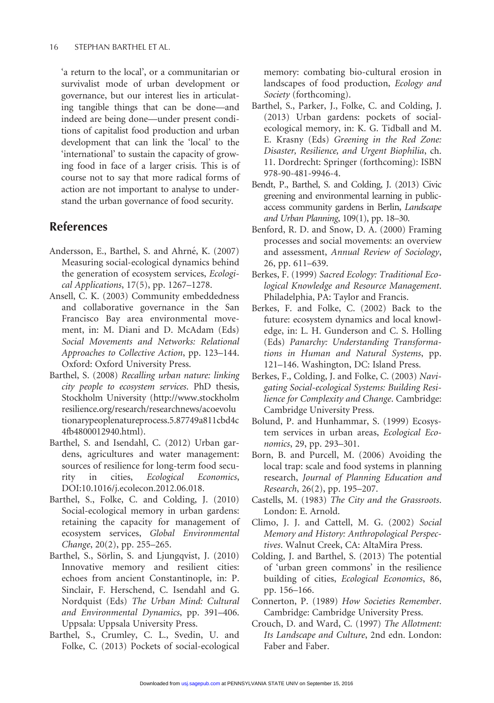'a return to the local', or a communitarian or survivalist mode of urban development or governance, but our interest lies in articulating tangible things that can be done—and indeed are being done—under present conditions of capitalist food production and urban development that can link the 'local' to the 'international' to sustain the capacity of growing food in face of a larger crisis. This is of course not to say that more radical forms of action are not important to analyse to understand the urban governance of food security.

# References

- Andersson, E., Barthel, S. and Ahrné, K. (2007) Measuring social-ecological dynamics behind the generation of ecosystem services, Ecological Applications, 17(5), pp. 1267–1278.
- Ansell, C. K. (2003) Community embeddedness and collaborative governance in the San Francisco Bay area environmental movement, in: M. Diani and D. McAdam (Eds) Social Movements and Networks: Relational Approaches to Collective Action, pp. 123–144. Oxford: Oxford University Press.
- Barthel, S. (2008) Recalling urban nature: linking city people to ecosystem services. PhD thesis, Stockholm University (http://www.stockholm resilience.org/research/researchnews/acoevolu tionarypeoplenatureprocess.5.87749a811cbd4c 4fb4800012940.html).
- Barthel, S. and Isendahl, C. (2012) Urban gardens, agricultures and water management: sources of resilience for long-term food security in cities, Ecological Economics, DOI:10.1016/j.ecolecon.2012.06.018.
- Barthel, S., Folke, C. and Colding, J. (2010) Social-ecological memory in urban gardens: retaining the capacity for management of ecosystem services, Global Environmental Change, 20(2), pp. 255–265.
- Barthel, S., Sörlin, S. and Ljungqvist, J. (2010) Innovative memory and resilient cities: echoes from ancient Consta[ntinople,](http://usj.sagepub.com/) [in](http://usj.sagepub.com/): P. Sinclair, F. Herschend, C. Isendahl and G. Nordquist (Eds) The Urban Mind: Cultural and Environmental Dynamics, pp. 391–406. Uppsala: Uppsala University Press.
- Barthel, S., Crumley, C. L., Svedin, U. and Folke, C. (2013) Pockets of social-ecological

memory: combating bio-cultural erosion in landscapes of food production, Ecology and Society (forthcoming).

- Barthel, S., Parker, J., Folke, C. and Colding, J. (2013) Urban gardens: pockets of socialecological memory, in: K. G. Tidball and M. E. Krasny (Eds) Greening in the Red Zone: Disaster, Resilience, and Urgent Biophilia, ch. 11. Dordrecht: Springer (forthcoming): ISBN 978-90-481-9946-4.
- Bendt, P., Barthel, S. and Colding, J. (2013) Civic greening and environmental learning in publicaccess community gardens in Berlin, Landscape and Urban Planning, 109(1), pp. 18–30.
- Benford, R. D. and Snow, D. A. (2000) Framing processes and social movements: an overview and assessment, Annual Review of Sociology, 26, pp. 611–639.
- Berkes, F. (1999) Sacred Ecology: Traditional Ecological Knowledge and Resource Management. Philadelphia, PA: Taylor and Francis.
- Berkes, F. and Folke, C. (2002) Back to the future: ecosystem dynamics and local knowledge, in: L. H. Gunderson and C. S. Holling (Eds) Panarchy: Understanding Transformations in Human and Natural Systems, pp. 121–146. Washington, DC: Island Press.
- Berkes, F., Colding, J. and Folke, C. (2003) Navigating Social-ecological Systems: Building Resilience for Complexity and Change. Cambridge: Cambridge University Press.
- Bolund, P. and Hunhammar, S. (1999) Ecosystem services in urban areas, Ecological Economics, 29, pp. 293–301.
- Born, B. and Purcell, M. (2006) Avoiding the local trap: scale and food systems in planning research, Journal of Planning Education and Research, 26(2), pp. 195–207.
- Castells, M. (1983) The City and the Grassroots. London: E. Arnold.
- Climo, J. J. and Cattell, M. G. (2002) Social Memory and History: Anthropological Perspectives. Walnut Creek, CA: AltaMira Press.
- Colding, J. and Barthel, S. (2013) The potential of 'urban green commons' in the resilience building of cities, Ecological Economics, 86, pp. 156–166.
- Connerton, P. (1989) How Societies Remember. Cambridge: Cambridge University Press.
- Crouch, D. and Ward, C. (1997) The Allotment: Its Landscape and Culture, 2nd edn. London: Faber and Faber.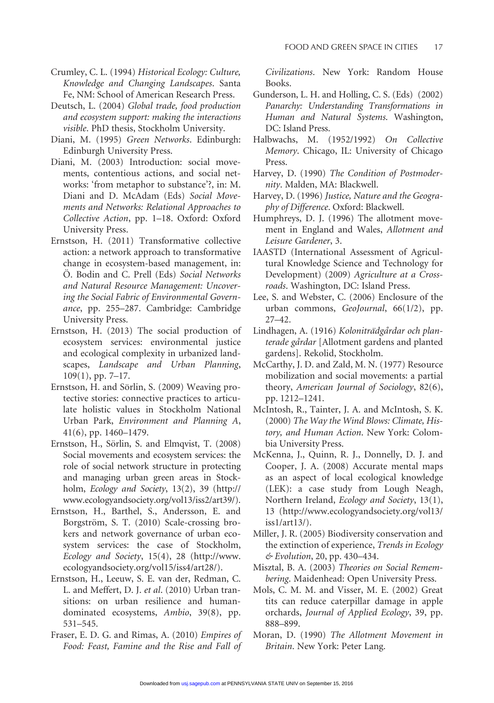- Crumley, C. L. (1994) Historical Ecology: Culture, Knowledge and Changing Landscapes. Santa Fe, NM: School of American Research Press.
- Deutsch, L. (2004) Global trade, food production and ecosystem support: making the interactions visible. PhD thesis, Stockholm University.
- Diani, M. (1995) Green Networks. Edinburgh: Edinburgh University Press.
- Diani, M. (2003) Introduction: social movements, contentious actions, and social networks: 'from metaphor to substance'?, in: M. Diani and D. McAdam (Eds) Social Movements and Networks: Relational Approaches to Collective Action, pp. 1–18. Oxford: Oxford University Press.
- Ernstson, H. (2011) Transformative collective action: a network approach to transformative change in ecosystem-based management, in: Ö. Bodin and C. Prell (Eds) Social Networks and Natural Resource Management: Uncovering the Social Fabric of Environmental Governance, pp. 255–287. Cambridge: Cambridge University Press.
- Ernstson, H. (2013) The social production of ecosystem services: environmental justice and ecological complexity in urbanized landscapes, Landscape and Urban Planning, 109(1), pp. 7–17.
- Ernstson, H. and Sörlin, S. (2009) Weaving protective stories: connective practices to articulate holistic values in Stockholm National Urban Park, Environment and Planning A, 41(6), pp. 1460–1479.
- Ernstson, H., Sörlin, S. and Elmqvist, T. (2008) Social movements and ecosystem services: the role of social network structure in protecting and managing urban green areas in Stockholm, Ecology and Society, 13(2), 39 (http:// www.ecologyandsociety.org/vol13/iss2/art39/).
- Ernstson, H., Barthel, S., Andersson, E. and Borgström, S. T. (2010) Scale-crossing brokers and network governance of urban ecosystem services: the case of Stockholm, Ecology and Society, 15(4), 28 (http://www. ecologyandsociety.org/vol15/iss4/art28/).
- Ernstson, H., Leeuw, S. E. van [der,](http://usj.sagepub.com/) [Redman](http://usj.sagepub.com/), C. L. and Meffert, D. J. et al. (2010) Urban transitions: on urban resilience and humandominated ecosystems, Ambio, 39(8), pp. 531–545.
- Fraser, E. D. G. and Rimas, A. (2010) Empires of Food: Feast, Famine and the Rise and Fall of

Civilizations. New York: Random House Books.

- Gunderson, L. H. and Holling, C. S. (Eds) (2002) Panarchy: Understanding Transformations in Human and Natural Systems. Washington, DC: Island Press.
- Halbwachs, M. (1952/1992) On Collective Memory. Chicago, IL: University of Chicago Press.
- Harvey, D. (1990) The Condition of Postmodernity. Malden, MA: Blackwell.
- Harvey, D. (1996) Justice, Nature and the Geography of Difference. Oxford: Blackwell.
- Humphreys, D. J. (1996) The allotment movement in England and Wales, Allotment and Leisure Gardener, 3.
- IAASTD (International Assessment of Agricultural Knowledge Science and Technology for Development) (2009) Agriculture at a Crossroads. Washington, DC: Island Press.
- Lee, S. and Webster, C. (2006) Enclosure of the urban commons, GeoJournal, 66(1/2), pp. 27–42.
- Lindhagen, A. (1916) Koloniträdgårdar och planterade gårdar [Allotment gardens and planted gardens]. Rekolid, Stockholm.
- McCarthy, J. D. and Zald, M. N. (1977) Resource mobilization and social movements: a partial theory, American Journal of Sociology, 82(6), pp. 1212–1241.
- McIntosh, R., Tainter, J. A. and McIntosh, S. K. (2000) The Way the Wind Blows: Climate, History, and Human Action. New York: Colombia University Press.
- McKenna, J., Quinn, R. J., Donnelly, D. J. and Cooper, J. A. (2008) Accurate mental maps as an aspect of local ecological knowledge (LEK): a case study from Lough Neagh, Northern Ireland, Ecology and Society, 13(1), 13 (http://www.ecologyandsociety.org/vol13/ iss1/art13/).
- Miller, J. R. (2005) Biodiversity conservation and the extinction of experience, Trends in Ecology & Evolution, 20, pp. 430–434.
- Misztal, B. A. (2003) Theories on Social Remembering. Maidenhead: Open University Press.
- Mols, C. M. M. and Visser, M. E. (2002) Great tits can reduce caterpillar damage in apple orchards, Journal of Applied Ecology, 39, pp. 888–899.
- Moran, D. (1990) The Allotment Movement in Britain. New York: Peter Lang.